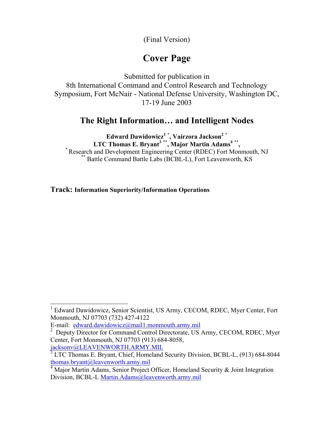(Final Version)

# **Cover Page**

Submitted for publication in 8th International Command and Control Research and Technology Symposium, Fort McNair - National Defense University, Washington DC, 17-19 June 2003

# **The Right Information… and Intelligent Nodes**

**Edward Dawidowicz[1](#page-0-0) \* , Vairzora Jackson[2](#page-0-1) \* LTC Thomas E. Bryant<sup>3</sup> \*\*, Major Martin Adams<sup>4</sup> \*\*,<br>
<sup>\*</sup> Research and Development Engineering Center (RDEC) Fort Monmouth, NJ<br>
<sup>\*\*</sup> Battle Command Battle Labs (BCBL-L), Fort Leavenworth, KS** 

**Track: Information Superiority/Information Operations**

[jacksonv@LEAVENWORTH.ARMY.MIL](mailto:jacksonv@LEAVENWORTH.ARMY.MIL)

<span id="page-0-0"></span><sup>&</sup>lt;sup>1</sup> Edward Dawidowicz, Senior Scientist, US Army, CECOM, RDEC, Myer Center, Fort Monmouth, NJ 07703 (732) 427-4122

E-mail: [edward.dawidowicz@mail1.monmouth.army.mil](mailto:edward.dawidowicz@mail1.monmouth.army.mil) 2

<span id="page-0-1"></span><sup>&</sup>lt;sup>2</sup> Deputy Director for Command Control Directorate, US Army, CECOM, RDEC, Myer Center, Fort Monmouth, NJ 07703 (913) 684-8058,

<span id="page-0-2"></span><sup>&</sup>lt;sup>3</sup> LTC Thomas E. Bryant, Chief, Homeland Security Division, BCBL-L, (913) 684-8044 [thomas.bryant@leavenworth.army.mil](mailto:thomas.bryant@leavenworth.army.mil)

<span id="page-0-3"></span> $\frac{4}{3}$  Major Martin Adams, Senior Project Officer, Homeland Security & Joint Integration Division, BCBL-L [Martin.Adams@leavenworth.army.mil](mailto:Martin.Adams@leavenworth.army.mil)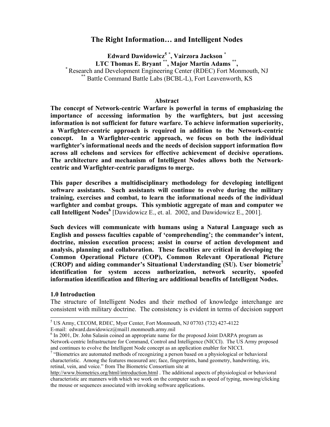# **The Right Information… and Intelligent Nodes**

**Edward Dawidowicz[5](#page-1-0) \* , Vairzora Jackson \***  <sup>\*</sup> Research and Development Engineering Center (RDEC) Fort Monmouth, NJ <sup>\*\*</sup> Battle Command Battle Labs (BCBL-L), Fort Leavenworth, KS

#### **Abstract**

**The concept of Network-centric Warfare is powerful in terms of emphasizing the importance of accessing information by the warfighters, but just accessing information is not sufficient for future warfare. To achieve information superiority, a Warfighter-centric approach is required in addition to the Network-centric concept. In a Warfighter-centric approach, we focus on both the individual warfighter's informational needs and the needs of decision support information flow across all echelons and services for effective achievement of decisive operations. The architecture and mechanism of Intelligent Nodes allows both the Networkcentric and Warfighter-centric paradigms to merge.** 

**This paper describes a multidisciplinary methodology for developing intelligent software assistants. Such assistants will continue to evolve during the military training, exercises and combat, to learn the informational needs of the individual warfighter and combat groups. This symbiotic aggregate of man and computer we call Intelligent Nodes[6](#page-1-1)** [Dawidowicz E., et. al. 2002, and Dawidowicz E., 2001].

**Such devices will communicate with humans using a Natural Language such as English and possess faculties capable of 'comprehending'; the commander's intent, doctrine, mission execution process; assist in course of action development and analysis, planning and collaboration. These faculties are critical in developing the Common Operational Picture (COP), Common Relevant Operational Picture (CROP) and aiding commander's Situational Understanding (SU). User biometric[7](#page-1-2) identification for system access authorization, network security, spoofed information identification and filtering are additional benefits of Intelligent Nodes.** 

#### **1.0 Introduction**

l

The structure of Intelligent Nodes and their method of knowledge interchange are consistent with military doctrine. The consistency is evident in terms of decision support

<span id="page-1-0"></span><sup>5</sup> US Army, CECOM, RDEC, Myer Center, Fort Monmouth, NJ 07703 (732) 427-4122

E-mail: edward.dawidowicz@mail1.monmouth.army.mil

<span id="page-1-1"></span><sup>&</sup>lt;sup>6</sup> In 2001, Dr. John Salasin coined an appropriate name for the proposed Joint DARPA program as Network-centric Infrastructure for Command, Control and Intelligence (NICCI). The US Army proposed and continues to evolve the Intelligent Node concept as an application enabler for NICCI.

<span id="page-1-2"></span><sup>&</sup>lt;sup>7</sup> "Biometrics are automated methods of recognizing a person based on a physiological or behavioral characteristic. Among the features measured are; face, fingerprints, hand geometry, handwriting, iris, retinal, vein, and voice." from The Biometric Consortium site at

<http://www.biometrics.org/html/introduction.html> . The additional aspects of physiological or behavioral characteristic are manners with which we work on the computer such as speed of typing, mowing/clicking the mouse or sequences associated with invoking software applications.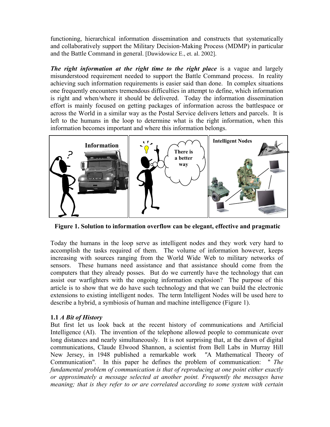functioning, hierarchical information dissemination and constructs that systematically and collaboratively support the Military Decision-Making Process (MDMP) in particular and the Battle Command in general. [Dawidowicz E., et. al. 2002].

*The right information at the right time to the right place* is a vague and largely misunderstood requirement needed to support the Battle Command process. In reality achieving such information requirements is easier said than done. In complex situations one frequently encounters tremendous difficulties in attempt to define, which information is right and when/where it should be delivered. Today the information dissemination effort is mainly focused on getting packages of information across the battlespace or across the World in a similar way as the Postal Service delivers letters and parcels. It is left to the humans in the loop to determine what is the right information, when this information becomes important and where this information belongs.



**Figure 1. Solution to information overflow can be elegant, effective and pragmatic**

Today the humans in the loop serve as intelligent nodes and they work very hard to accomplish the tasks required of them. The volume of information however, keeps increasing with sources ranging from the World Wide Web to military networks of sensors. These humans need assistance and that assistance should come from the computers that they already posses. But do we currently have the technology that can assist our warfighters with the ongoing information explosion? The purpose of this article is to show that we do have such technology and that we can build the electronic extensions to existing intelligent nodes. The term Intelligent Nodes will be used here to describe a hybrid, a symbiosis of human and machine intelligence (Figure 1).

# **1.1** *A Bit of History*

But first let us look back at the recent history of communications and Artificial Intelligence (AI). The invention of the telephone allowed people to communicate over long distances and nearly simultaneously. It is not surprising that, at the dawn of digital communications, Claude Elwood Shannon, a scientist from Bell Labs in Murray Hill New Jersey, in 1948 published a remarkable work *"*A Mathematical Theory of Communication"*.* In this paper he defines the problem of communication: " *The fundamental problem of communication is that of reproducing at one point either exactly or approximately a message selected at another point. Frequently the messages have meaning; that is they refer to or are correlated according to some system with certain*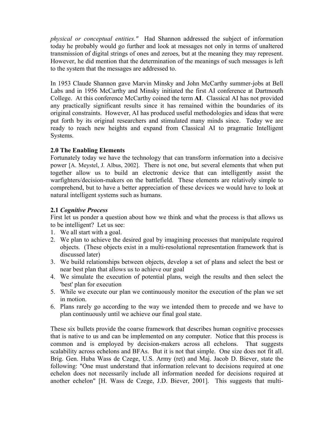*physical or conceptual entities."* Had Shannon addressed the subject of information today he probably would go further and look at messages not only in terms of unaltered transmission of digital strings of ones and zeroes, but at the meaning they may represent. However, he did mention that the determination of the meanings of such messages is left to the system that the messages are addressed to.

In 1953 Claude Shannon gave Marvin Minsky and John McCarthy summer-jobs at Bell Labs and in 1956 McCarthy and Minsky initiated the first AI conference at Dartmouth College. At this conference McCarthy coined the term **AI**. Classical AI has not provided any practically significant results since it has remained within the boundaries of its original constraints. However, AI has produced useful methodologies and ideas that were put forth by its original researchers and stimulated many minds since. Today we are ready to reach new heights and expand from Classical AI to pragmatic Intelligent Systems.

# **2.0 The Enabling Elements**

Fortunately today we have the technology that can transform information into a decisive power [A. Meystel, J*.* Albus, 2002]. There is not one, but several elements that when put together allow us to build an electronic device that can intelligently assist the warfighters/decision-makers on the battlefield. These elements are relatively simple to comprehend, but to have a better appreciation of these devices we would have to look at natural intelligent systems such as humans.

# **2.1** *Cognitive Process*

First let us ponder a question about how we think and what the process is that allows us to be intelligent? Let us see:

- 1. We all start with a goal.
- 2. We plan to achieve the desired goal by imagining processes that manipulate required objects. (These objects exist in a multi-resolutional representation framework that is discussed later)
- 3. We build relationships between objects, develop a set of plans and select the best or near best plan that allows us to achieve our goal
- 4. We simulate the execution of potential plans, weigh the results and then select the 'best' plan for execution
- 5. While we execute our plan we continuously monitor the execution of the plan we set in motion.
- 6. Plans rarely go according to the way we intended them to precede and we have to plan continuously until we achieve our final goal state.

These six bullets provide the coarse framework that describes human cognitive processes that is native to us and can be implemented on any computer. Notice that this process is common and is employed by decision-makers across all echelons. That suggests scalability across echelons and BFAs. But it is not that simple. One size does not fit all. Brig. Gen. Huba Wass de Czege, U.S. Army (ret) and Maj. Jacob D. Biever, state the following: "One must understand that information relevant to decisions required at one echelon does not necessarily include all information needed for decisions required at another echelon" [H. Wass de Czege, J.D. Biever, 2001]. This suggests that multi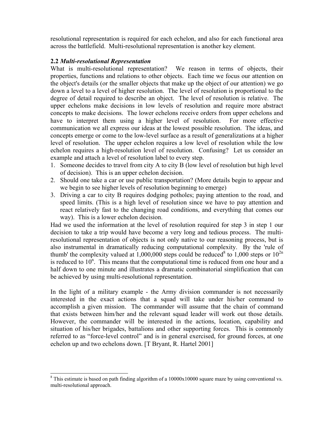resolutional representation is required for each echelon, and also for each functional area across the battlefield. Multi-resolutional representation is another key element.

# **2.2** *Multi-resolutional Representation*

What is multi-resolutional representation? We reason in terms of objects, their properties, functions and relations to other objects. Each time we focus our attention on the object's details (or the smaller objects that make up the object of our attention) we go down a level to a level of higher resolution. The level of resolution is proportional to the degree of detail required to describe an object. The level of resolution is relative. The upper echelons make decisions in low levels of resolution and require more abstract concepts to make decisions. The lower echelons receive orders from upper echelons and have to interpret them using a higher level of resolution. For more effective communication we all express our ideas at the lowest possible resolution. The ideas, and concepts emerge or come to the low-level surface as a result of generalizations at a higher level of resolution. The upper echelon requires a low level of resolution while the low echelon requires a high-resolution level of resolution. Confusing? Let us consider an example and attach a level of resolution label to every step.

- 1. Someone decides to travel from city A to city B (low level of resolution but high level of decision). This is an upper echelon decision.
- 2. Should one take a car or use public transportation? (More details begin to appear and we begin to see higher levels of resolution beginning to emerge)
- 3. Driving a car to city B requires dodging potholes; paying attention to the road, and speed limits. (This is a high level of resolution since we have to pay attention and react relatively fast to the changing road conditions, and everything that comes our way). This is a lower echelon decision.

Had we used the information at the level of resolution required for step 3 in step 1 our decision to take a trip would have become a very long and tedious process. The multiresolutional representation of objects is not only native to our reasoning process, but is also instrumental in dramatically reducing computational complexity. By the 'rule of thumb' the complexity valued at 1,000,000 steps could be reduced<sup>[8](#page-4-0)</sup> to 1,000 steps or  $10^{2n}$ is reduced to  $10<sup>n</sup>$ . This means that the computational time is reduced from one hour and a half down to one minute and illustrates a dramatic combinatorial simplification that can be achieved by using multi-resolutional representation.

In the light of a military example - the Army division commander is not necessarily interested in the exact actions that a squad will take under his/her command to accomplish a given mission. The commander will assume that the chain of command that exists between him/her and the relevant squad leader will work out those details. However, the commander will be interested in the actions, location, capability and situation of his/her brigades, battalions and other supporting forces. This is commonly referred to as "force-level control" and is in general exercised, for ground forces, at one echelon up and two echelons down. [T Bryant, R. Hartel 2001]

<span id="page-4-0"></span>l  $8$  This estimate is based on path finding algorithm of a  $10000x10000$  square maze by using conventional vs. multi-resolutional approach.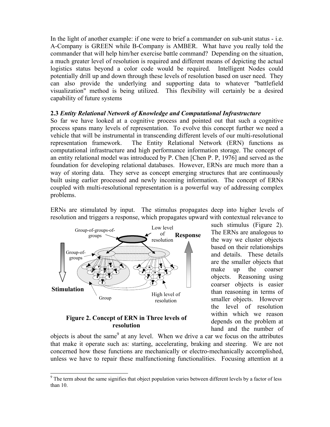In the light of another example: if one were to brief a commander on sub-unit status - i.e. A-Company is GREEN while B-Company is AMBER. What have you really told the commander that will help him/her exercise battle command? Depending on the situation, a much greater level of resolution is required and different means of depicting the actual logistics status beyond a color code would be required. Intelligent Nodes could potentially drill up and down through these levels of resolution based on user need. They can also provide the underlying and supporting data to whatever "battlefield visualization" method is being utilized. This flexibility will certainly be a desired capability of future systems

### **2.3** *Entity Relational Network of Knowledge and Computational Infrastructure*

So far we have looked at a cognitive process and pointed out that such a cognitive process spans many levels of representation. To evolve this concept further we need a vehicle that will be instrumental in transcending different levels of our multi-resolutional representation framework. The Entity Relational Network (ERN) functions as computational infrastructure and high performance information storage. The concept of an entity relational model was introduced by P. Chen [Chen P. P, 1976] and served as the foundation for developing relational databases. However, ERNs are much more than a way of storing data. They serve as concept emerging structures that are continuously built using earlier processed and newly incoming information. The concept of ERNs coupled with multi-resolutional representation is a powerful way of addressing complex problems.

ERNs are stimulated by input. The stimulus propagates deep into higher levels of resolution and triggers a response, which propagates upward with contextual relevance to



### **Figure 2. Concept of ERN in Three levels of resolution**

l

such stimulus (Figure 2). The ERNs are analogous to the way we cluster objects based on their relationships and details. These details are the smaller objects that make up the coarser objects. Reasoning using coarser objects is easier than reasoning in terms of smaller objects. However the level of resolution within which we reason depends on the problem at hand and the number of

objects is about the same<sup>[9](#page-5-0)</sup> at any level. When we drive a car we focus on the attributes that make it operate such as: starting, accelerating, braking and steering. We are not concerned how these functions are mechanically or electro-mechanically accomplished, unless we have to repair these malfunctioning functionalities. Focusing attention at a

<span id="page-5-0"></span><sup>&</sup>lt;sup>9</sup> The term about the same signifies that object population varies between different levels by a factor of less than 10.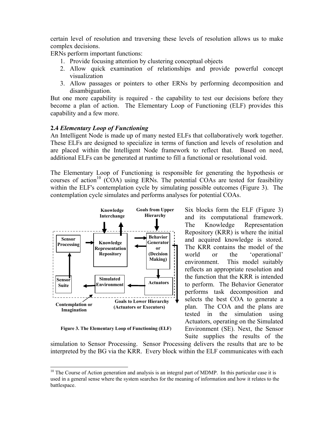certain level of resolution and traversing these levels of resolution allows us to make complex decisions.

ERNs perform important functions:

- 1. Provide focusing attention by clustering conceptual objects
- 2. Allow quick examination of relationships and provide powerful concept visualization
- 3. Allow passages or pointers to other ERNs by performing decomposition and disambiguation.

But one more capability is required - the capability to test our decisions before they become a plan of action. The Elementary Loop of Functioning (ELF) provides this capability and a few more.

#### **2.4** *Elementary Loop of Functioning*

An Intelligent Node is made up of many nested ELFs that collaboratively work together. These ELFs are designed to specialize in terms of function and levels of resolution and are placed within the Intelligent Node framework to reflect that. Based on need, additional ELFs can be generated at runtime to fill a functional or resolutional void.

The Elementary Loop of Functioning is responsible for generating the hypothesis or courses of action<sup>10</sup> (COA) using ERNs. The potential COAs are tested for feasibility within the ELF's contemplation cycle by simulating possible outcomes (Figure 3). The contemplation cycle simulates and performs analyses for potential COAs.



**Figure 3. The Elementary Loop of Functioning (ELF)** 

l

Six blocks form the ELF (Figure 3) and its computational framework. The Knowledge Representation Repository (KRR) is where the initial and acquired knowledge is stored. The KRR contains the model of the world or the 'operational' environment. This model suitably reflects an appropriate resolution and the function that the KRR is intended to perform. The Behavior Generator performs task decomposition and selects the best COA to generate a plan. The COA and the plans are tested in the simulation using Actuators, operating on the Simulated Environment (SE). Next, the Sensor Suite supplies the results of the

simulation to Sensor Processing. Sensor Processing delivers the results that are to be interpreted by the BG via the KRR. Every block within the ELF communicates with each

<span id="page-6-0"></span> $10$  The Course of Action generation and analysis is an integral part of MDMP. In this particular case it is used in a general sense where the system searches for the meaning of information and how it relates to the battlespace.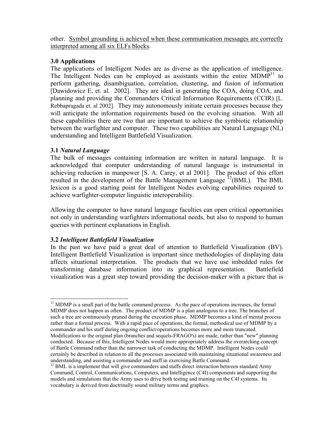other. Symbol grounding is achieved when these communication messages are correctly interpreted among all six ELFs blocks.

# **3.0 Applications**

The applications of Intelligent Nodes are as diverse as the application of intelligence. The Intelligent Nodes can be employed as assistants within the entire  $MDMP<sup>11</sup>$  to perform gathering, disambiguation, correlation, clustering, and fusion of information [Dawidowicz E, et. al. 2002]. They are ideal in generating the COA, doing COA, and planning and providing the Commanders Critical Information Requirements (CCIR) [L. Rebbapragada et. al 2002]. They may autonomously initiate certain processes because they will anticipate the information requirements based on the evolving situation. With all these capabilities there are two that are important to achieve the symbiotic relationship between the warfighter and computer. These two capabilities are Natural Language (NL) understanding and Intelligent Battlefield Visualization.

# **3.1** *Natural Language*

l

The bulk of messages containing information are written in natural language. It is acknowledged that computer understanding of natural language is instrumental in achieving reduction in manpower [S. A. Carey, et al 2001]. The product of this effort resulted in the development of the Battle Management Language  $^{12}$ (BML). The BML lexicon is a good starting point for Intelligent Nodes evolving capabilities required to achieve warfighter-computer linguistic interoperability.

Allowing the computer to have natural language faculties can open critical opportunities not only in understanding warfighters informational needs, but also to respond to human queries with pertinent explanations in English.

# **3.2** *Intelligent Battlefield Visualization*

In the past we have paid a great deal of attention to Battlefield Visualization (BV). Intelligent Battlefield Visualization is important since methodologies of displaying data affects situational interpretation. The products that we have use imbedded rules for transforming database information into its graphical representation. Battlefield visualization was a great step toward providing the decision-maker with a picture that is

<span id="page-7-0"></span> $11$  MDMP is a small part of the battle command process. As the pace of operations increases, the formal MDMP does not happen as often. The product of MDMP is a plan analogous to a tree. The branches of such a tree are continuously pruned during the execution phase. MDMP becomes a kind of mental process rather than a formal process. With a rapid pace of operations, the formal, methodical use of MDMP by a commander and his staff during ongoing conflict/operations becomes more and more truncated. Modifications to the original plan (branches and sequels-FRAGO's) are made, rather than "new" planning conducted. Because of this, Intelligent Nodes would more appropriately address the overarching concept of Battle Command rather than the narrower task of conducting the MDMP. Intelligent Nodes could certainly be described in relation to all the processes associated with maintaining situational awareness and understanding, and assisting a commander and staff in exercising Battle Command.

<span id="page-7-1"></span> $12$  BML is a implement that will give commanders and staffs direct interaction between standard Army Command, Control, Communications, Computers, and Intelligence (C4I) components and supporting the models and simulations that the Army uses to drive both testing and training on the C4I systems. Its vocabulary is derived from doctrinally sound military terms and graphics.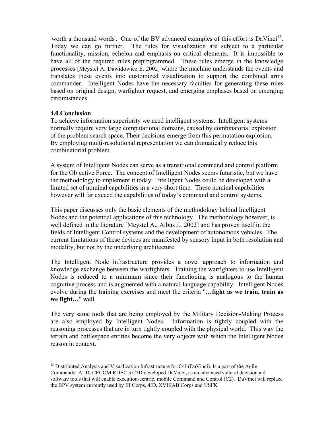'worth a thousand words'. One of the BV advanced examples of this effort is DaVinci<sup>13</sup>. Today we can go further. The rules for visualization are subject to a particular functionality, mission, echelon and emphasis on critical elements. It is impossible to have all of the required rules preprogrammed. These rules emerge in the knowledge processes [Meystel A, Dawidowicz E. 2002] where the machine understands the events and translates these events into customized visualization to support the combined arms commander. Intelligent Nodes have the necessary faculties for generating these rules based on original design, warfighter request, and emerging emphases based on emerging circumstances.

### **4.0 Conclusion**

l

To achieve information superiority we need intelligent systems. Intelligent systems normally require very large computational domains, caused by combinatorial explosion of the problem search space. Their decisions emerge from this permutation explosion. By employing multi-resolutional representation we can dramatically reduce this combinatorial problem.

A system of Intelligent Nodes can serve as a transitional command and control platform for the Objective Force. The concept of Intelligent Nodes seems futuristic, but we have the methodology to implement it today. Intelligent Nodes could be developed with a limited set of nominal capabilities in a very short time. These nominal capabilities however will far exceed the capabilities of today's command and control systems.

This paper discusses only the basic elements of the methodology behind Intelligent Nodes and the potential applications of this technology. The methodology however, is well defined in the literature [Meystel A., Albus J.*,* 2002] and has proven itself in the fields of Intelligent Control systems and the development of autonomous vehicles. The current limitations of these devices are manifested by sensory input in both resolution and modality, but not by the underlying architecture.

The Intelligent Node infrastructure provides a novel approach to information and knowledge exchange between the warfighters. Training the warfighters to use Intelligent Nodes is reduced to a minimum since their functioning is analogous to the human cognitive process and is augmented with a natural language capability. Intelligent Nodes evolve during the training exercises and meet the criteria "**…fight as we train, train as we fight…**" well.

The very same tools that are being employed by the Military Decision-Making Process are also employed by Intelligent Nodes. Information is tightly coupled with the reasoning processes that are in turn tightly coupled with the physical world. This way the terrain and battlespace entities become the very objects with which the Intelligent Nodes reason in context.

<span id="page-8-0"></span> $13$  Distributed Analysis and Visualization Infrastructure for C4I (DaVinci). Is a part of the Agile Commander ATD, CECOM RDEC's C2D developed DaVinci, as an advanced suite of decision aid software tools that will enable execution-centric, mobile Command and Control (C2). DaVinci will replace the BPV system currently used by III Corps, 4ID, XVIIIAB Corps and USFK